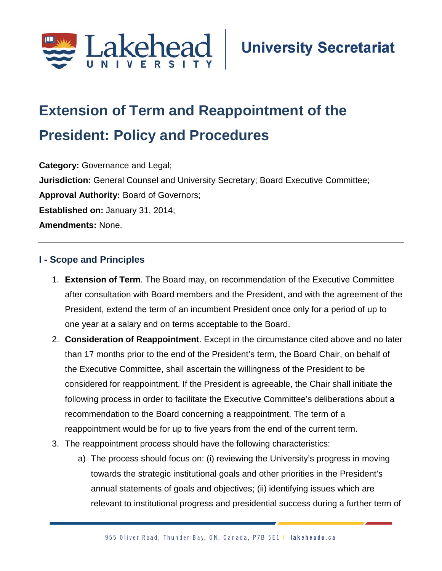

# **Extension of Term and Reappointment of the President: Policy and Procedures;**

**Category:** Governance and Legal; **Jurisdiction:** General Counsel and University Secretary; Board Executive Committee; **Approval Authority:** Board of Governors; **Established on:** January 31, 2014; **Amendments:** None.

# **I - Scope and Principles**

- 1. **Extension of Term**. The Board may, on recommendation of the Executive Committee after consultation with Board members and the President, and with the agreement of the President, extend the term of an incumbent President once only for a period of up to one year at a salary and on terms acceptable to the Board.
- 2. **Consideration of Reappointment**. Except in the circumstance cited above and no later than 17 months prior to the end of the President's term, the Board Chair, on behalf of the Executive Committee, shall ascertain the willingness of the President to be considered for reappointment. If the President is agreeable, the Chair shall initiate the following process in order to facilitate the Executive Committee's deliberations about a recommendation to the Board concerning a reappointment. The term of a reappointment would be for up to five years from the end of the current term.
- 3. The reappointment process should have the following characteristics:
	- a) The process should focus on: (i) reviewing the University's progress in moving towards the strategic institutional goals and other priorities in the President's annual statements of goals and objectives; (ii) identifying issues which are relevant to institutional progress and presidential success during a further term of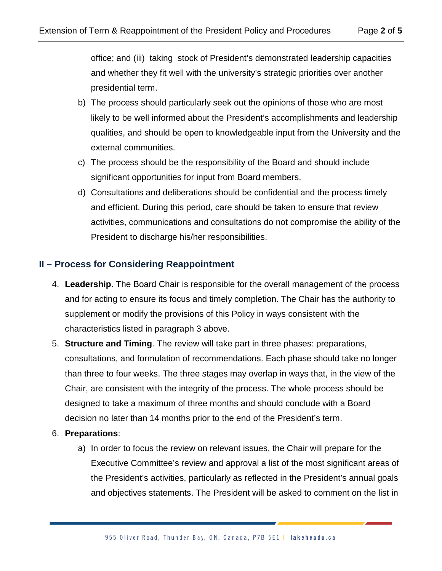office; and (iii) taking stock of President's demonstrated leadership capacities and whether they fit well with the university's strategic priorities over another presidential term.

- b) The process should particularly seek out the opinions of those who are most likely to be well informed about the President's accomplishments and leadership qualities, and should be open to knowledgeable input from the University and the external communities.
- c) The process should be the responsibility of the Board and should include significant opportunities for input from Board members.
- d) Consultations and deliberations should be confidential and the process timely and efficient. During this period, care should be taken to ensure that review activities, communications and consultations do not compromise the ability of the President to discharge his/her responsibilities.

# **II – Process for Considering Reappointment**

- 4. **Leadership**. The Board Chair is responsible for the overall management of the process and for acting to ensure its focus and timely completion. The Chair has the authority to supplement or modify the provisions of this Policy in ways consistent with the characteristics listed in paragraph 3 above.
- 5. **Structure and Timing**. The review will take part in three phases: preparations, consultations, and formulation of recommendations. Each phase should take no longer than three to four weeks. The three stages may overlap in ways that, in the view of the Chair, are consistent with the integrity of the process. The whole process should be designed to take a maximum of three months and should conclude with a Board decision no later than 14 months prior to the end of the President's term.

#### 6. **Preparations**:

a) In order to focus the review on relevant issues, the Chair will prepare for the Executive Committee's review and approval a list of the most significant areas of the President's activities, particularly as reflected in the President's annual goals and objectives statements. The President will be asked to comment on the list in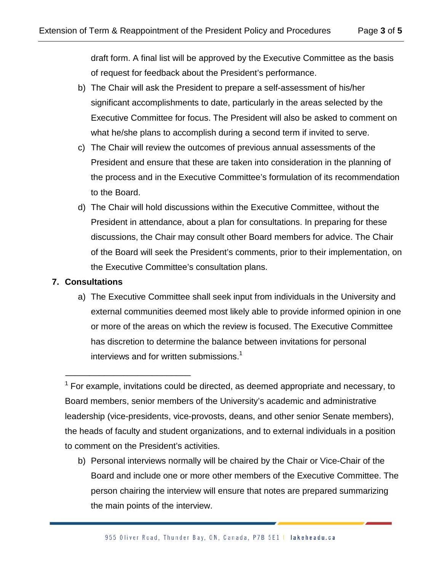draft form. A final list will be approved by the Executive Committee as the basis of request for feedback about the President's performance.

- b) The Chair will ask the President to prepare a self-assessment of his/her significant accomplishments to date, particularly in the areas selected by the Executive Committee for focus. The President will also be asked to comment on what he/she plans to accomplish during a second term if invited to serve.
- c) The Chair will review the outcomes of previous annual assessments of the President and ensure that these are taken into consideration in the planning of the process and in the Executive Committee's formulation of its recommendation to the Board.
- d) The Chair will hold discussions within the Executive Committee, without the President in attendance, about a plan for consultations. In preparing for these discussions, the Chair may consult other Board members for advice. The Chair of the Board will seek the President's comments, prior to their implementation, on the Executive Committee's consultation plans.

# **7. Consultations**

\_\_\_\_\_\_\_\_\_\_\_\_\_\_\_\_\_\_\_\_\_\_\_\_\_\_

a) The Executive Committee shall seek input from individuals in the University and external communities deemed most likely able to provide informed opinion in one or more of the areas on which the review is focused. The Executive Committee has discretion to determine the balance between invitations for personal interviews and for written submissions.<sup>1</sup>

b) Personal interviews normally will be chaired by the Chair or Vice-Chair of the Board and include one or more other members of the Executive Committee. The person chairing the interview will ensure that notes are prepared summarizing the main points of the interview.

 $1$  For example, invitations could be directed, as deemed appropriate and necessary, to Board members, senior members of the University's academic and administrative leadership (vice-presidents, vice-provosts, deans, and other senior Senate members), the heads of faculty and student organizations, and to external individuals in a position to comment on the President's activities.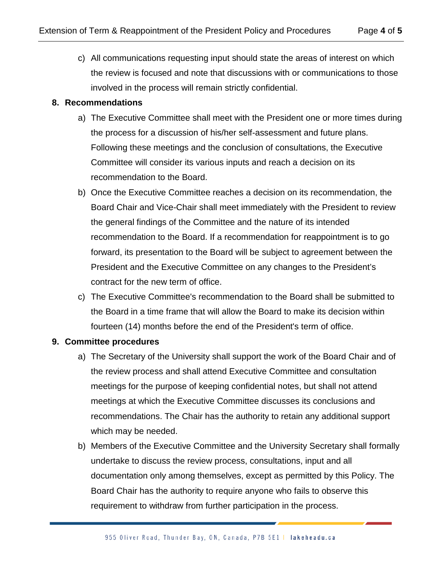c) All communications requesting input should state the areas of interest on which the review is focused and note that discussions with or communications to those involved in the process will remain strictly confidential.

#### **8. Recommendations**

- a) The Executive Committee shall meet with the President one or more times during the process for a discussion of his/her self-assessment and future plans. Following these meetings and the conclusion of consultations, the Executive Committee will consider its various inputs and reach a decision on its recommendation to the Board.
- b) Once the Executive Committee reaches a decision on its recommendation, the Board Chair and Vice-Chair shall meet immediately with the President to review the general findings of the Committee and the nature of its intended recommendation to the Board. If a recommendation for reappointment is to go forward, its presentation to the Board will be subject to agreement between the President and the Executive Committee on any changes to the President's contract for the new term of office.
- c) The Executive Committee's recommendation to the Board shall be submitted to the Board in a time frame that will allow the Board to make its decision within fourteen (14) months before the end of the President's term of office.

# **9. Committee procedures**

- a) The Secretary of the University shall support the work of the Board Chair and of the review process and shall attend Executive Committee and consultation meetings for the purpose of keeping confidential notes, but shall not attend meetings at which the Executive Committee discusses its conclusions and recommendations. The Chair has the authority to retain any additional support which may be needed.
- b) Members of the Executive Committee and the University Secretary shall formally undertake to discuss the review process, consultations, input and all documentation only among themselves, except as permitted by this Policy. The Board Chair has the authority to require anyone who fails to observe this requirement to withdraw from further participation in the process.